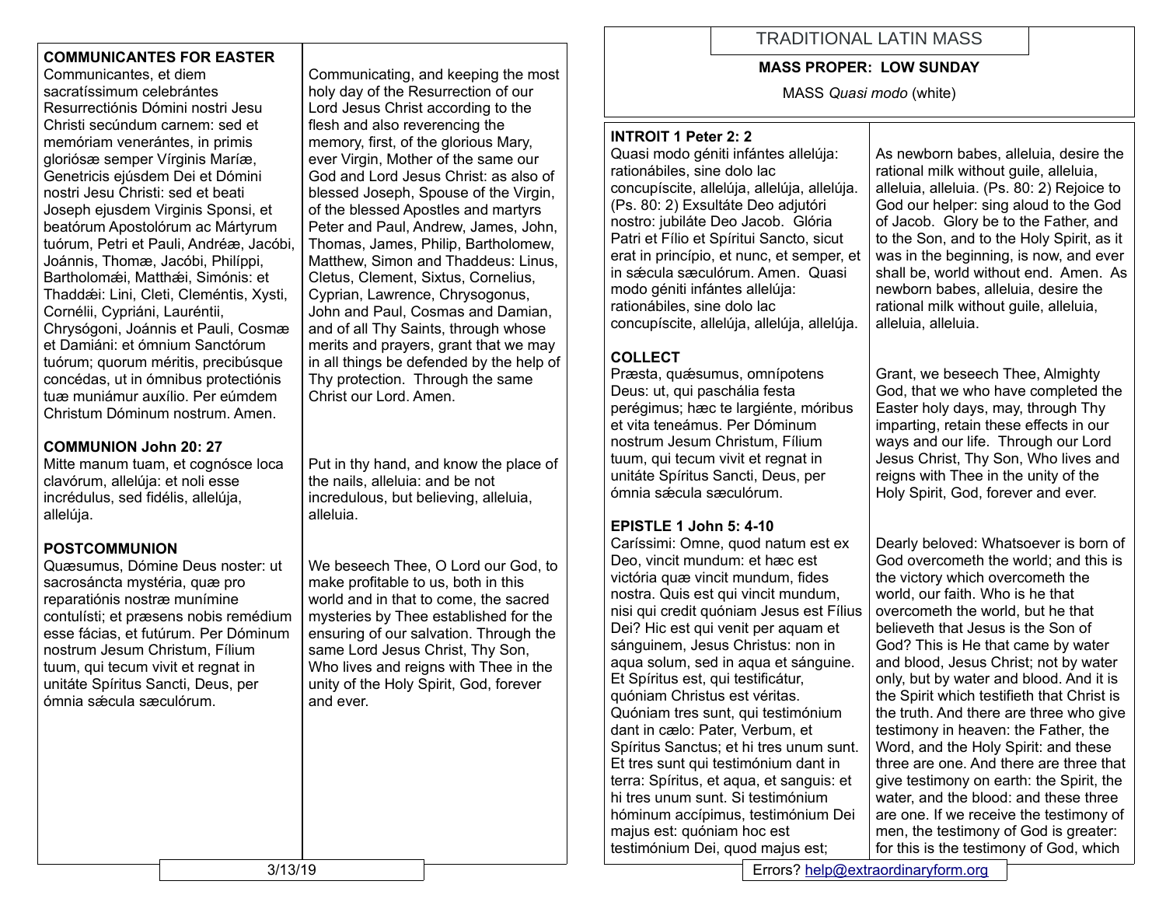## **COMMUNICANTES FOR EASTER**

Communicantes, et diem sacratíssimum celebrántes Resurrectiónis Dómini nostri Jesu Christi secúndum carnem: sed et memóriam venerántes, in primis gloriósæ semper Vírginis Maríæ, Genetricis ejúsdem Dei et Dómini nostri Jesu Christi: sed et beati Joseph ejusdem Virginis Sponsi, et beatórum Apostolórum ac Mártyrum tuórum, Petri et Pauli, Andréæ, Jacóbi, Joánnis, Thomæ, Jacóbi, Philíppi, Bartholomǽi, Matthǽi, Simónis: et Thaddǽi: Lini, Cleti, Cleméntis, Xysti, Cornélii, Cypriáni, Lauréntii, Chrysógoni, Joánnis et Pauli, Cosmæ et Damiáni: et ómnium Sanctórum tuórum; quorum méritis, precibúsque concédas, ut in ómnibus protectiónis tuæ muniámur auxílio. Per eúmdem Christum Dóminum nostrum. Amen.

## **COMMUNION John 20: 27**

Mitte manum tuam, et cognósce loca clavórum, allelúja: et noli esse incrédulus, sed fidélis, allelúja, allelúja.

#### **POSTCOMMUNION**

Quæsumus, Dómine Deus noster: ut sacrosáncta mystéria, quæ pro reparatiónis nostræ munímine contulísti; et præsens nobis remédium esse fácias, et futúrum. Per Dóminum nostrum Jesum Christum, Fílium tuum, qui tecum vivit et regnat in unitáte Spíritus Sancti, Deus, per ómnia sǽcula sæculórum.

Communicating, and keeping the most holy day of the Resurrection of our Lord Jesus Christ according to the flesh and also reverencing the memory, first, of the glorious Mary, ever Virgin, Mother of the same our God and Lord Jesus Christ: as also of blessed Joseph, Spouse of the Virgin, of the blessed Apostles and martyrs Peter and Paul, Andrew, James, John, Thomas, James, Philip, Bartholomew, Matthew, Simon and Thaddeus: Linus, Cletus, Clement, Sixtus, Cornelius, Cyprian, Lawrence, Chrysogonus, John and Paul, Cosmas and Damian, and of all Thy Saints, through whose merits and prayers, grant that we may in all things be defended by the help of Thy protection. Through the same Christ our Lord. Amen.

Put in thy hand, and know the place of the nails, alleluia: and be not incredulous, but believing, alleluia, alleluia.

We beseech Thee, O Lord our God, to make profitable to us, both in this world and in that to come, the sacred mysteries by Thee established for the ensuring of our salvation. Through the same Lord Jesus Christ, Thy Son, Who lives and reigns with Thee in the unity of the Holy Spirit, God, forever and ever.

# TRADITIONAL LATIN MASS

#### **MASS PROPER: LOW SUNDAY**

MASS *Quasi modo* (white)

#### **INTROIT 1 Peter 2: 2**

Quasi modo géniti infántes allelúja: rationábiles, sine dolo lac concupíscite, allelúja, allelúja, allelúja. (Ps. 80: 2) Exsultáte Deo adjutóri nostro: jubiláte Deo Jacob. Glória Patri et Fílio et Spíritui Sancto, sicut erat in princípio, et nunc, et semper, et in sǽcula sæculórum. Amen. Quasi modo géniti infántes allelúja: rationábiles, sine dolo lac concupíscite, allelúja, allelúja, allelúja.

# **COLLECT**

Præsta, quæsumus, omnípotens Deus: ut, qui paschália festa perégimus; hæc te largiénte, móribus et vita teneámus. Per Dóminum nostrum Jesum Christum, Fílium tuum, qui tecum vivit et regnat in unitáte Spíritus Sancti, Deus, per ómnia sǽcula sæculórum.

## **EPISTLE 1 John 5: 4-10**

Caríssimi: Omne, quod natum est ex Deo, vincit mundum: et hæc est victória quæ vincit mundum, fides nostra. Quis est qui vincit mundum, nisi qui credit quóniam Jesus est Fílius Dei? Hic est qui venit per aquam et sánguinem, Jesus Christus: non in aqua solum, sed in aqua et sánguine. Et Spíritus est, qui testificátur, quóniam Christus est véritas. Quóniam tres sunt, qui testimónium dant in cælo: Pater, Verbum, et Spíritus Sanctus; et hi tres unum sunt. Et tres sunt qui testimónium dant in terra: Spíritus, et aqua, et sanguis: et hi tres unum sunt. Si testimónium hóminum accípimus, testimónium Dei majus est: quóniam hoc est testimónium Dei, quod majus est;

As newborn babes, alleluia, desire the rational milk without guile, alleluia, alleluia, alleluia. (Ps. 80: 2) Rejoice to God our helper: sing aloud to the God of Jacob. Glory be to the Father, and to the Son, and to the Holy Spirit, as it was in the beginning, is now, and ever shall be, world without end. Amen. As newborn babes, alleluia, desire the rational milk without quile, alleluia, alleluia, alleluia.

Grant, we beseech Thee, Almighty God, that we who have completed the Easter holy days, may, through Thy imparting, retain these effects in our ways and our life. Through our Lord Jesus Christ, Thy Son, Who lives and reigns with Thee in the unity of the Holy Spirit, God, forever and ever.

Dearly beloved: Whatsoever is born of God overcometh the world; and this is the victory which overcometh the world, our faith. Who is he that overcometh the world, but he that believeth that Jesus is the Son of God? This is He that came by water and blood, Jesus Christ; not by water only, but by water and blood. And it is the Spirit which testifieth that Christ is the truth. And there are three who give testimony in heaven: the Father, the Word, and the Holy Spirit: and these three are one. And there are three that give testimony on earth: the Spirit, the water, and the blood: and these three are one. If we receive the testimony of men, the testimony of God is greater: for this is the testimony of God, which

3/13/19 Errors? [help@extraordinaryform.org](mailto:help@extraordinaryform.org)